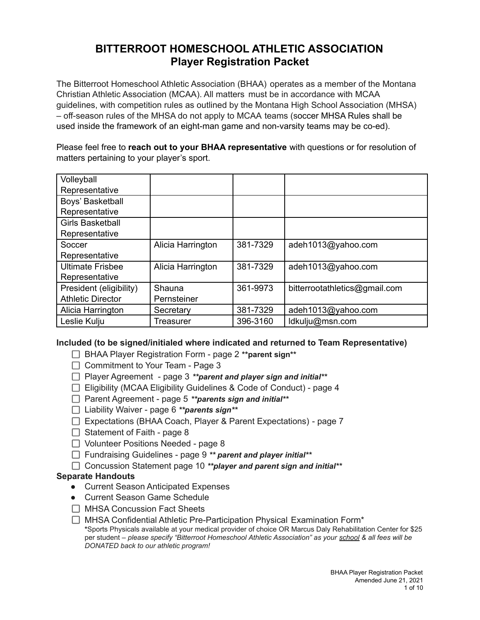# **BITTERROOT HOMESCHOOL ATHLETIC ASSOCIATION Player Registration Packet**

The Bitterroot Homeschool Athletic Association (BHAA) operates as a member of the Montana Christian Athletic Association (MCAA). All matters must be in accordance with MCAA guidelines, with competition rules as outlined by the Montana High School Association (MHSA) – off-season rules of the MHSA do not apply to MCAA teams (soccer MHSA Rules shall be used inside the framework of an eight-man game and non-varsity teams may be co-ed).

Please feel free to **reach out to your BHAA representative** with questions or for resolution of matters pertaining to your player's sport.

| Volleyball               |                   |          |                               |
|--------------------------|-------------------|----------|-------------------------------|
| Representative           |                   |          |                               |
| Boys' Basketball         |                   |          |                               |
| Representative           |                   |          |                               |
| <b>Girls Basketball</b>  |                   |          |                               |
| Representative           |                   |          |                               |
| Soccer                   | Alicia Harrington | 381-7329 | adeh1013@yahoo.com            |
| Representative           |                   |          |                               |
| <b>Ultimate Frisbee</b>  | Alicia Harrington | 381-7329 | adeh1013@yahoo.com            |
| Representative           |                   |          |                               |
| President (eligibility)  | Shauna            | 361-9973 | bitterrootathletics@gmail.com |
| <b>Athletic Director</b> | Pernsteiner       |          |                               |
| Alicia Harrington        | Secretary         | 381-7329 | adeh1013@yahoo.com            |
| Leslie Kulju             | Treasurer         | 396-3160 | ldkulju@msn.com               |

### **Included (to be signed/initialed where indicated and returned to Team Representative)**

- BHAA Player Registration Form page 2 **\*\*parent sign\*\***
- $\Box$  Commitment to Your Team Page 3
- Player Agreement page 3 *\*\*parent and player sign and initial\*\**
- $\Box$  Eligibility (MCAA Eligibility Guidelines & Code of Conduct) page 4
- Parent Agreement page 5 *\*\*parents sign and initial\*\**
- Liability Waiver page 6 *\*\*parents sign\*\**
- □ Expectations (BHAA Coach, Player & Parent Expectations) page 7
- $\Box$  Statement of Faith page 8
- $\Box$  Volunteer Positions Needed page 8
- Fundraising Guidelines page 9 *\*\* parent and player initial\*\**
- Concussion Statement page 10 *\*\*player and parent sign and initial\*\**

#### **Separate Handouts**

- Current Season Anticipated Expenses
- Current Season Game Schedule
- □ MHSA Concussion Fact Sheets
- $\Box$  MHSA Confidential Athletic Pre-Participation Physical Examination Form<sup>\*</sup> **\***Sports Physicals available at your medical provider of choice OR Marcus Daly Rehabilitation Center for \$25 per student – *please specify "Bitterroot Homeschool Athletic Association" as your school & all fees will be DONATED back to our athletic program!*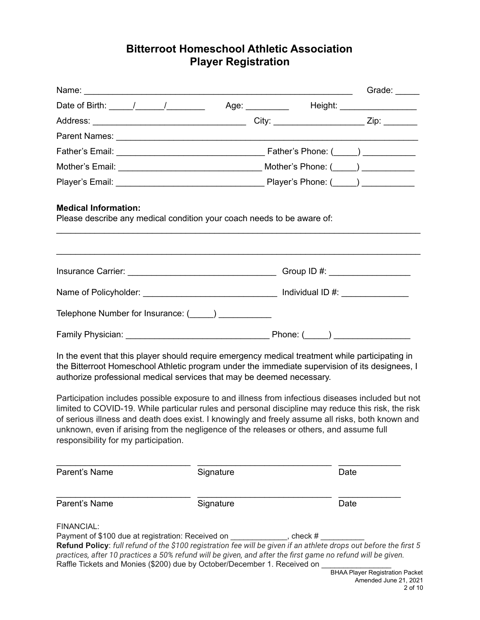# **Bitterroot Homeschool Athletic Association Player Registration**

| <b>Medical Information:</b><br>Please describe any medical condition your coach needs to be aware of:                                                                                                                                                                                                                                                                                                           |                                                                                   |      |                                                                            |
|-----------------------------------------------------------------------------------------------------------------------------------------------------------------------------------------------------------------------------------------------------------------------------------------------------------------------------------------------------------------------------------------------------------------|-----------------------------------------------------------------------------------|------|----------------------------------------------------------------------------|
|                                                                                                                                                                                                                                                                                                                                                                                                                 | ,我们也不能在这里的时候,我们也不能在这里的时候,我们也不能会在这里的时候,我们也不能会在这里的时候,我们也不能会在这里的时候,我们也不能会在这里的时候,我们也不 |      |                                                                            |
|                                                                                                                                                                                                                                                                                                                                                                                                                 |                                                                                   |      |                                                                            |
| Telephone Number for Insurance: (_____) ____________                                                                                                                                                                                                                                                                                                                                                            |                                                                                   |      |                                                                            |
|                                                                                                                                                                                                                                                                                                                                                                                                                 |                                                                                   |      |                                                                            |
| In the event that this player should require emergency medical treatment while participating in<br>the Bitterroot Homeschool Athletic program under the immediate supervision of its designees, I<br>authorize professional medical services that may be deemed necessary.<br>Participation includes possible exposure to and illness from infectious diseases included but not                                 |                                                                                   |      |                                                                            |
| limited to COVID-19. While particular rules and personal discipline may reduce this risk, the risk<br>of serious illness and death does exist. I knowingly and freely assume all risks, both known and<br>unknown, even if arising from the negligence of the releases or others, and assume full<br>responsibility for my participation.                                                                       |                                                                                   |      |                                                                            |
| Parent's Name                                                                                                                                                                                                                                                                                                                                                                                                   | Signature                                                                         | Date |                                                                            |
| Parent's Name                                                                                                                                                                                                                                                                                                                                                                                                   | Signature                                                                         | Date |                                                                            |
| <b>FINANCIAL:</b><br>Payment of \$100 due at registration: Received on _____________, check #<br>Refund Policy: full refund of the \$100 registration fee will be given if an athlete drops out before the first 5<br>practices, after 10 practices a 50% refund will be given, and after the first game no refund will be given.<br>Raffle Tickets and Monies (\$200) due by October/December 1. Received on _ |                                                                                   |      | <b>BHAA Player Registration Packet</b><br>Amended June 21, 2021<br>2 of 10 |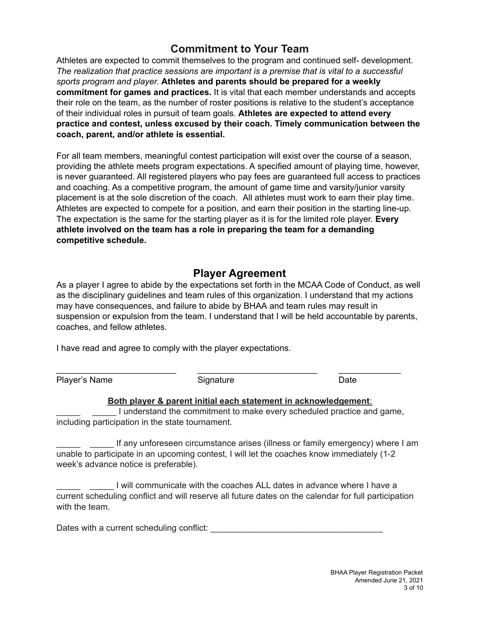## **Commitment to Your Team**

Athletes are expected to commit themselves to the program and continued self- development. *The realization that practice sessions are important is a premise that is vital to a successful sports program and player.* **Athletes and parents should be prepared for a weekly commitment for games and practices.** It is vital that each member understands and accepts their role on the team, as the number of roster positions is relative to the student's acceptance of their individual roles in pursuit of team goals. **Athletes are expected to attend every practice and contest, unless excused by their coach. Timely communication between the coach, parent, and/or athlete is essential.**

For all team members, meaningful contest participation will exist over the course of a season, providing the athlete meets program expectations. A specified amount of playing time, however, is never guaranteed. All registered players who pay fees are guaranteed full access to practices and coaching. As a competitive program, the amount of game time and varsity/junior varsity placement is at the sole discretion of the coach. All athletes must work to earn their play time. Athletes are expected to compete for a position, and earn their position in the starting line-up. The expectation is the same for the starting player as it is for the limited role player. **Every athlete involved on the team has a role in preparing the team for a demanding competitive schedule.**

### **Player Agreement**

As a player I agree to abide by the expectations set forth in the MCAA Code of Conduct, as well as the disciplinary guidelines and team rules of this organization. I understand that my actions may have consequences, and failure to abide by BHAA and team rules may result in suspension or expulsion from the team. I understand that I will be held accountable by parents, coaches, and fellow athletes.

I have read and agree to comply with the player expectations.

Player's Name Signature Signature Date

\_\_\_\_\_\_\_\_\_\_\_\_\_\_\_\_\_\_\_\_\_\_\_\_\_ \_\_\_\_\_\_\_\_\_\_\_\_\_\_\_\_\_\_\_\_\_\_\_\_\_ \_\_\_\_\_\_\_\_\_\_\_\_\_

#### **Both player & parent initial each statement in acknowledgement**:

\_\_\_\_\_ \_\_\_\_\_ I understand the commitment to make every scheduled practice and game, including participation in the state tournament.

If any unforeseen circumstance arises (illness or family emergency) where I am unable to participate in an upcoming contest, I will let the coaches know immediately (1-2 week's advance notice is preferable).

I will communicate with the coaches ALL dates in advance where I have a current scheduling conflict and will reserve all future dates on the calendar for full participation with the team.

| Dates with a current scheduling conflict: |  |
|-------------------------------------------|--|
|                                           |  |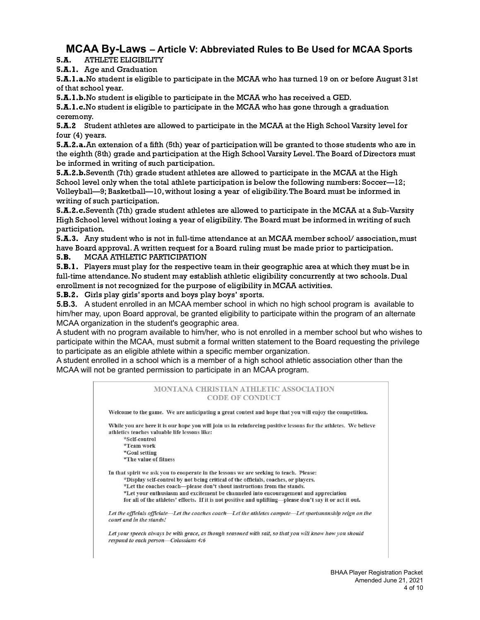# **MCAA By-Laws – Article V: Abbreviated Rules to Be Used for MCAA Sports**

5.A. ATHLETE ELIGIBILITY

5.A.1. Age and Graduation

5.A.1.a.No student is eligible to participate in the MCAA who has turned 19 on or before August 31st of that school year.

5.A.1.b.No student is eligible to participate in the MCAA who has received a GED.

5.A.1.c.No student is eligible to participate in the MCAA who has gone through a graduation ceremony.

5.A.2 Student athletes are allowed to participate in the MCAA at the High School Varsity level for four (4) years.

5.A.2.a.An extension of a fifth (5th) year of participation will be granted to those students who are in the eighth (8th) grade and participation at the High School Varsity Level.The Board of Directors must be informed in writing of such participation.

5.A.2.b.Seventh (7th) grade student athletes are allowed to participate in the MCAA at the High School level only when the total athlete participation is below the following numbers: Soccer—12; Volleyball—9; Basketball—10, without losing a year of eligibility.The Board must be informed in writing of such participation.

5.A.2.c.Seventh (7th) grade student athletes are allowed to participate in the MCAA at a Sub-Varsity High School level without losing a year of eligibility. The Board must be informed in writing of such participation.

5.A.3. Any student who is not in full-time attendance at an MCAA member school/ association, must have Board approval.A written request for a Board ruling must be made prior to participation.

5.B. MCAA ATHLETIC PARTICIPATION

**5.B.1.** Players must play for the respective team in their geographic area at which they must be in full-time attendance. No student may establish athletic eligibility concurrently at two schools. Dual enrollment is not recognized for the purpose of eligibility in MCAA activities.

5.B.2. Girls play girls' sports and boys play boys' sports.

**5.B.3.** A student enrolled in an MCAA member school in which no high school program is available to him/her may, upon Board approval, be granted eligibility to participate within the program of an alternate MCAA organization in the student's geographic area.

A student with no program available to him/her, who is not enrolled in a member school but who wishes to participate within the MCAA, must submit a formal written statement to the Board requesting the privilege to participate as an eligible athlete within a specific member organization.

A student enrolled in a school which is a member of a high school athletic association other than the MCAA will not be granted permission to participate in an MCAA program.

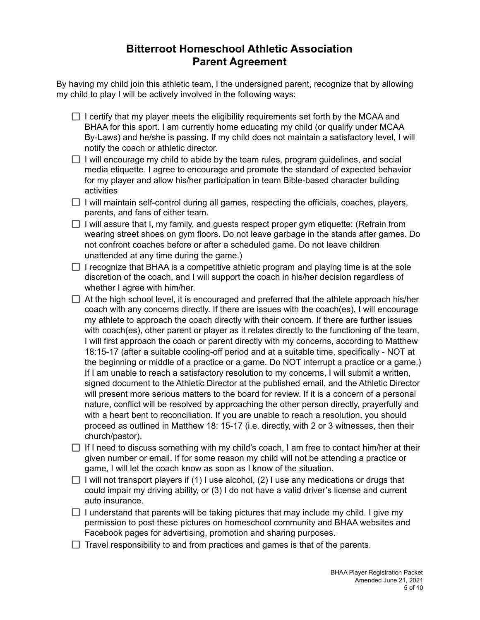## **Bitterroot Homeschool Athletic Association Parent Agreement**

By having my child join this athletic team, I the undersigned parent, recognize that by allowing my child to play I will be actively involved in the following ways:

- $\Box$  I certify that my player meets the eligibility requirements set forth by the MCAA and BHAA for this sport. I am currently home educating my child (or qualify under MCAA By-Laws) and he/she is passing. If my child does not maintain a satisfactory level, I will notify the coach or athletic director.
- $\Box$  I will encourage my child to abide by the team rules, program guidelines, and social media etiquette. I agree to encourage and promote the standard of expected behavior for my player and allow his/her participation in team Bible-based character building activities
- $\Box$  I will maintain self-control during all games, respecting the officials, coaches, players, parents, and fans of either team.
- $\Box$  I will assure that I, my family, and guests respect proper gym etiquette: (Refrain from wearing street shoes on gym floors. Do not leave garbage in the stands after games. Do not confront coaches before or after a scheduled game. Do not leave children unattended at any time during the game.)
- $\Box$  I recognize that BHAA is a competitive athletic program and playing time is at the sole discretion of the coach, and I will support the coach in his/her decision regardless of whether I agree with him/her.
- $\Box$  At the high school level, it is encouraged and preferred that the athlete approach his/her coach with any concerns directly. If there are issues with the coach(es), I will encourage my athlete to approach the coach directly with their concern. If there are further issues with coach(es), other parent or player as it relates directly to the functioning of the team, I will first approach the coach or parent directly with my concerns, according to Matthew 18:15-17 (after a suitable cooling-off period and at a suitable time, specifically - NOT at the beginning or middle of a practice or a game. Do NOT interrupt a practice or a game.) If I am unable to reach a satisfactory resolution to my concerns, I will submit a written, signed document to the Athletic Director at the published email, and the Athletic Director will present more serious matters to the board for review. If it is a concern of a personal nature, conflict will be resolved by approaching the other person directly, prayerfully and with a heart bent to reconciliation. If you are unable to reach a resolution, you should proceed as outlined in Matthew 18: 15-17 (i.e. directly, with 2 or 3 witnesses, then their church/pastor).
- $\Box$  If I need to discuss something with my child's coach, I am free to contact him/her at their given number or email. If for some reason my child will not be attending a practice or game, I will let the coach know as soon as I know of the situation.
- I will not transport players if (1) I use alcohol, (2) I use any medications or drugs that could impair my driving ability, or (3) I do not have a valid driver's license and current auto insurance.
- $\Box$  I understand that parents will be taking pictures that may include my child. I give my permission to post these pictures on homeschool community and BHAA websites and Facebook pages for advertising, promotion and sharing purposes.
- $\Box$  Travel responsibility to and from practices and games is that of the parents.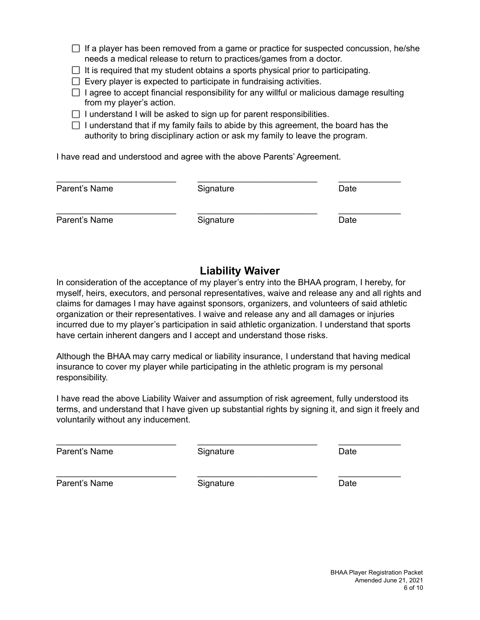- $\Box$  If a player has been removed from a game or practice for suspected concussion, he/she needs a medical release to return to practices/games from a doctor.
- $\Box$  It is required that my student obtains a sports physical prior to participating.
- $\Box$  Every player is expected to participate in fundraising activities.
- $\Box$  I agree to accept financial responsibility for any willful or malicious damage resulting from my player's action.
- $\Box$  I understand I will be asked to sign up for parent responsibilities.
- $\Box$  I understand that if my family fails to abide by this agreement, the board has the authority to bring disciplinary action or ask my family to leave the program.

I have read and understood and agree with the above Parents' Agreement.

| Parent's Name | Signature | Date |
|---------------|-----------|------|
| Parent's Name | Signature | Date |

### **Liability Waiver**

In consideration of the acceptance of my player's entry into the BHAA program, I hereby, for myself, heirs, executors, and personal representatives, waive and release any and all rights and claims for damages I may have against sponsors, organizers, and volunteers of said athletic organization or their representatives. I waive and release any and all damages or injuries incurred due to my player's participation in said athletic organization. I understand that sports have certain inherent dangers and I accept and understand those risks.

Although the BHAA may carry medical or liability insurance, I understand that having medical insurance to cover my player while participating in the athletic program is my personal responsibility.

I have read the above Liability Waiver and assumption of risk agreement, fully understood its terms, and understand that I have given up substantial rights by signing it, and sign it freely and voluntarily without any inducement.

| Parent's Name | Signature | Date |
|---------------|-----------|------|
| Parent's Name | Signature | Date |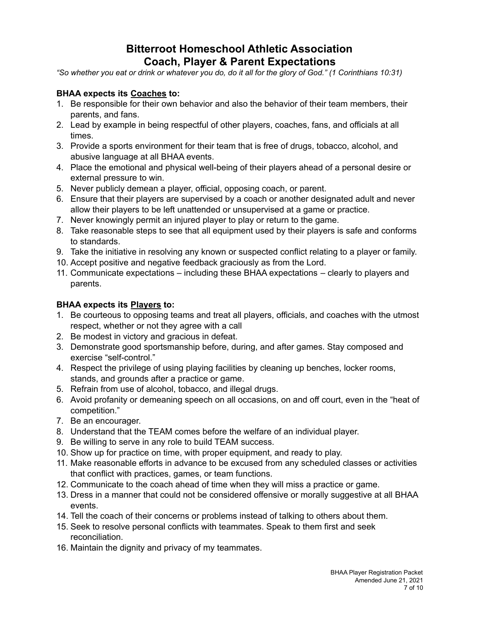## **Bitterroot Homeschool Athletic Association Coach, Player & Parent Expectations**

"So whether you eat or drink or whatever you do, do it all for the glory of God." (1 Corinthians 10:31)

### **BHAA expects its Coaches to:**

- 1. Be responsible for their own behavior and also the behavior of their team members, their parents, and fans.
- 2. Lead by example in being respectful of other players, coaches, fans, and officials at all times.
- 3. Provide a sports environment for their team that is free of drugs, tobacco, alcohol, and abusive language at all BHAA events.
- 4. Place the emotional and physical well-being of their players ahead of a personal desire or external pressure to win.
- 5. Never publicly demean a player, official, opposing coach, or parent.
- 6. Ensure that their players are supervised by a coach or another designated adult and never allow their players to be left unattended or unsupervised at a game or practice.
- 7. Never knowingly permit an injured player to play or return to the game.
- 8. Take reasonable steps to see that all equipment used by their players is safe and conforms to standards.
- 9. Take the initiative in resolving any known or suspected conflict relating to a player or family.
- 10. Accept positive and negative feedback graciously as from the Lord.
- 11. Communicate expectations including these BHAA expectations clearly to players and parents.

### **BHAA expects its Players to:**

- 1. Be courteous to opposing teams and treat all players, officials, and coaches with the utmost respect, whether or not they agree with a call
- 2. Be modest in victory and gracious in defeat.
- 3. Demonstrate good sportsmanship before, during, and after games. Stay composed and exercise "self-control."
- 4. Respect the privilege of using playing facilities by cleaning up benches, locker rooms, stands, and grounds after a practice or game.
- 5. Refrain from use of alcohol, tobacco, and illegal drugs.
- 6. Avoid profanity or demeaning speech on all occasions, on and off court, even in the "heat of competition."
- 7. Be an encourager.
- 8. Understand that the TEAM comes before the welfare of an individual player.
- 9. Be willing to serve in any role to build TEAM success.
- 10. Show up for practice on time, with proper equipment, and ready to play.
- 11. Make reasonable efforts in advance to be excused from any scheduled classes or activities that conflict with practices, games, or team functions.
- 12. Communicate to the coach ahead of time when they will miss a practice or game.
- 13. Dress in a manner that could not be considered offensive or morally suggestive at all BHAA events.
- 14. Tell the coach of their concerns or problems instead of talking to others about them.
- 15. Seek to resolve personal conflicts with teammates. Speak to them first and seek reconciliation.
- 16. Maintain the dignity and privacy of my teammates.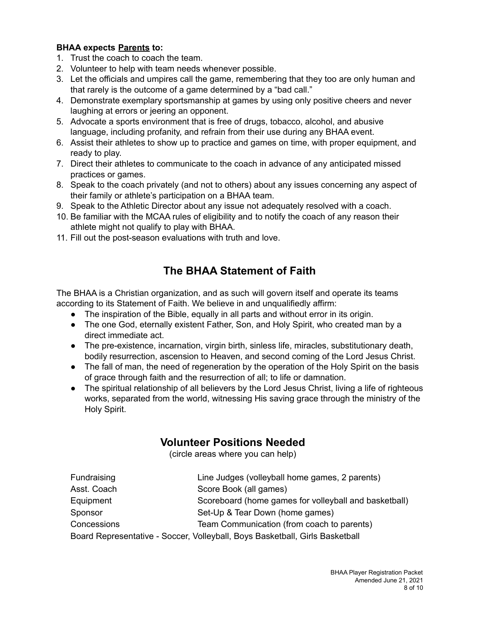### **BHAA expects Parents to:**

- 1. Trust the coach to coach the team.
- 2. Volunteer to help with team needs whenever possible.
- 3. Let the officials and umpires call the game, remembering that they too are only human and that rarely is the outcome of a game determined by a "bad call."
- 4. Demonstrate exemplary sportsmanship at games by using only positive cheers and never laughing at errors or jeering an opponent.
- 5. Advocate a sports environment that is free of drugs, tobacco, alcohol, and abusive language, including profanity, and refrain from their use during any BHAA event.
- 6. Assist their athletes to show up to practice and games on time, with proper equipment, and ready to play.
- 7. Direct their athletes to communicate to the coach in advance of any anticipated missed practices or games.
- 8. Speak to the coach privately (and not to others) about any issues concerning any aspect of their family or athlete's participation on a BHAA team.
- 9. Speak to the Athletic Director about any issue not adequately resolved with a coach.
- 10. Be familiar with the MCAA rules of eligibility and to notify the coach of any reason their athlete might not qualify to play with BHAA.
- 11. Fill out the post-season evaluations with truth and love.

# **The BHAA Statement of Faith**

The BHAA is a Christian organization, and as such will govern itself and operate its teams according to its Statement of Faith. We believe in and unqualifiedly affirm:

- The inspiration of the Bible, equally in all parts and without error in its origin.
- The one God, eternally existent Father, Son, and Holy Spirit, who created man by a direct immediate act.
- The pre-existence, incarnation, virgin birth, sinless life, miracles, substitutionary death, bodily resurrection, ascension to Heaven, and second coming of the Lord Jesus Christ.
- The fall of man, the need of regeneration by the operation of the Holy Spirit on the basis of grace through faith and the resurrection of all; to life or damnation.
- The spiritual relationship of all believers by the Lord Jesus Christ, living a life of righteous works, separated from the world, witnessing His saving grace through the ministry of the Holy Spirit.

### **Volunteer Positions Needed**

(circle areas where you can help)

| Fundraising | Line Judges (volleyball home games, 2 parents)                               |
|-------------|------------------------------------------------------------------------------|
| Asst. Coach | Score Book (all games)                                                       |
| Equipment   | Scoreboard (home games for volleyball and basketball)                        |
| Sponsor     | Set-Up & Tear Down (home games)                                              |
| Concessions | Team Communication (from coach to parents)                                   |
|             | Board Representative - Soccer, Volleyball, Boys Basketball, Girls Basketball |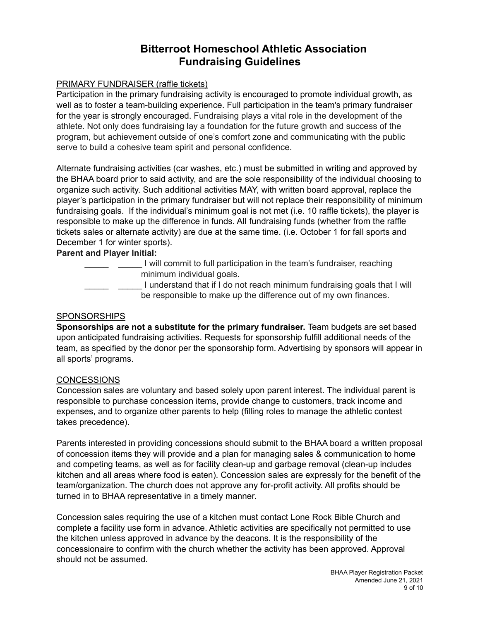## **Bitterroot Homeschool Athletic Association Fundraising Guidelines**

#### PRIMARY FUNDRAISER (raffle tickets)

Participation in the primary fundraising activity is encouraged to promote individual growth, as well as to foster a team-building experience. Full participation in the team's primary fundraiser for the year is strongly encouraged. Fundraising plays a vital role in the development of the athlete. Not only does fundraising lay a foundation for the future growth and success of the program, but achievement outside of one's comfort zone and communicating with the public serve to build a cohesive team spirit and personal confidence.

Alternate fundraising activities (car washes, etc.) must be submitted in writing and approved by the BHAA board prior to said activity, and are the sole responsibility of the individual choosing to organize such activity. Such additional activities MAY, with written board approval, replace the player's participation in the primary fundraiser but will not replace their responsibility of minimum fundraising goals. If the individual's minimum goal is not met (i.e. 10 raffle tickets), the player is responsible to make up the difference in funds. All fundraising funds (whether from the raffle tickets sales or alternate activity) are due at the same time. (i.e. October 1 for fall sports and December 1 for winter sports).

#### **Parent and Player Initial:**

\_\_\_\_\_ \_\_\_\_\_ I will commit to full participation in the team's fundraiser, reaching minimum individual goals. I understand that if I do not reach minimum fundraising goals that I will

be responsible to make up the difference out of my own finances.

#### SPONSORSHIPS

**Sponsorships are not a substitute for the primary fundraiser.** Team budgets are set based upon anticipated fundraising activities. Requests for sponsorship fulfill additional needs of the team, as specified by the donor per the sponsorship form. Advertising by sponsors will appear in all sports' programs.

#### **CONCESSIONS**

Concession sales are voluntary and based solely upon parent interest. The individual parent is responsible to purchase concession items, provide change to customers, track income and expenses, and to organize other parents to help (filling roles to manage the athletic contest takes precedence).

Parents interested in providing concessions should submit to the BHAA board a written proposal of concession items they will provide and a plan for managing sales & communication to home and competing teams, as well as for facility clean-up and garbage removal (clean-up includes kitchen and all areas where food is eaten). Concession sales are expressly for the benefit of the team/organization. The church does not approve any for-profit activity. All profits should be turned in to BHAA representative in a timely manner.

Concession sales requiring the use of a kitchen must contact Lone Rock Bible Church and complete a facility use form in advance. Athletic activities are specifically not permitted to use the kitchen unless approved in advance by the deacons. It is the responsibility of the concessionaire to confirm with the church whether the activity has been approved. Approval should not be assumed.